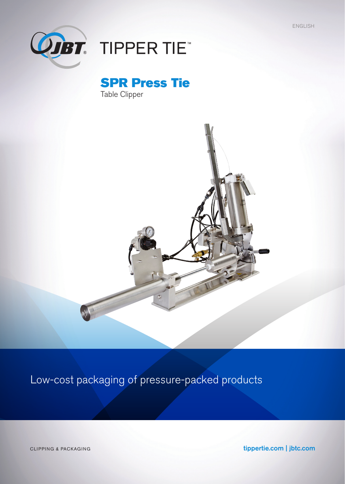ENGLISH



# **ODBT** TIPPER TIE

SPR Press Tie Table Clipper



### Low-cost packaging of pressure-packed products

CLIPPING & PACKAGING **tippertie.com | jbtc.com**